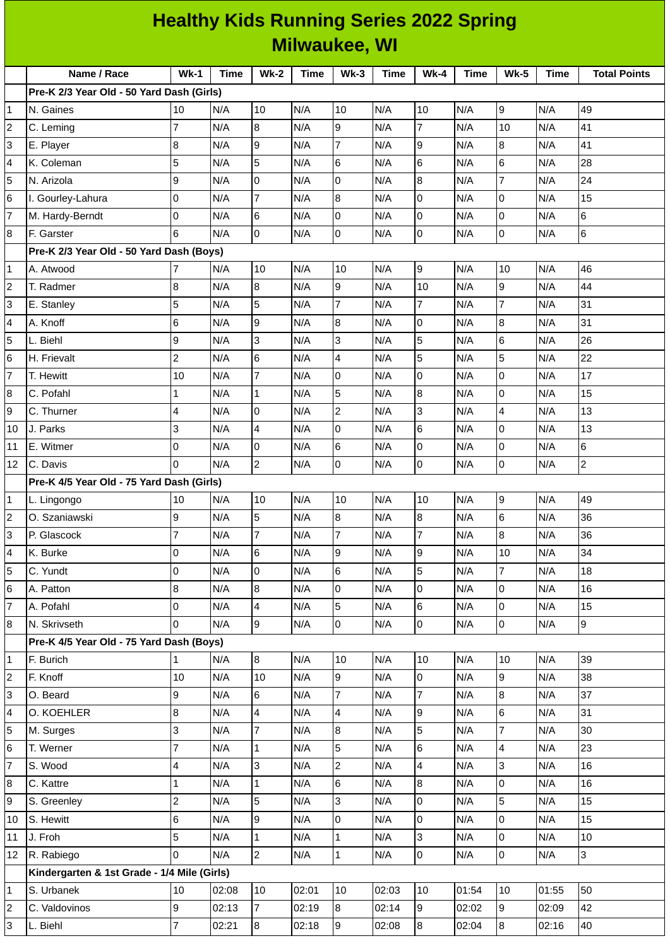| <b>Healthy Kids Running Series 2022 Spring</b> |                                             |                     |             |                                |             |                                  |             |                |             |                                           |             |                     |
|------------------------------------------------|---------------------------------------------|---------------------|-------------|--------------------------------|-------------|----------------------------------|-------------|----------------|-------------|-------------------------------------------|-------------|---------------------|
| <b>Milwaukee, WI</b>                           |                                             |                     |             |                                |             |                                  |             |                |             |                                           |             |                     |
|                                                | Name / Race                                 | $Wk-1$              | <b>Time</b> | <b>Wk-2</b>                    | <b>Time</b> | $Wk-3$                           | <b>Time</b> | <b>Wk-4</b>    | <b>Time</b> | <b>Wk-5</b>                               | <b>Time</b> | <b>Total Points</b> |
|                                                | Pre-K 2/3 Year Old - 50 Yard Dash (Girls)   |                     |             |                                |             |                                  |             |                |             |                                           |             |                     |
| 1                                              | N. Gaines                                   | 10                  | N/A         | 10                             | N/A         | 10                               | N/A         | 10             | N/A         | 9                                         | N/A         | 49                  |
| 2                                              | C. Leming                                   | $\overline{7}$      | N/A         | 8                              | N/A         | 9                                | N/A         | $\overline{7}$ | N/A         | 10                                        | N/A         | 41                  |
| 3                                              | E. Player                                   | 8                   | N/A         | 9                              | N/A         | 7                                | N/A         | 9              | N/A         | $\boldsymbol{8}$                          | N/A         | 41                  |
| 4                                              | K. Coleman                                  | 5                   | N/A         | 5                              | N/A         | 6                                | N/A         | 6              | N/A         | $6\phantom{.}6$                           | N/A         | 28                  |
| 5                                              | N. Arizola                                  | 9                   | N/A         | 0                              | N/A         | l0                               | N/A         | 8              | N/A         | $\overline{7}$                            | N/A         | 24                  |
| 6                                              | I. Gourley-Lahura                           | 0                   | N/A         | 7                              | N/A         | 8                                | N/A         | 0              | N/A         | 0                                         | N/A         | 15                  |
| 7                                              | M. Hardy-Berndt                             | 0                   | N/A         | 6                              | N/A         | 0                                | N/A         | 0              | N/A         | $\overline{0}$                            | N/A         | 6                   |
| 8                                              | F. Garster                                  | 6                   | N/A         | 0                              | N/A         | $\pmb{0}$                        | N/A         | 0              | N/A         | $\overline{0}$                            | N/A         | $\,6$               |
|                                                | Pre-K 2/3 Year Old - 50 Yard Dash (Boys)    |                     |             |                                |             |                                  |             |                |             |                                           |             |                     |
| 1                                              | A. Atwood                                   | 7                   | N/A         | 10                             | N/A         | 10                               | N/A         | 9              | N/A         | 10                                        | N/A         | 46                  |
| 2                                              | T. Radmer                                   | 8                   | N/A         | 8                              | N/A         | 9                                | N/A         | 10             | N/A         | 9                                         | N/A         | 44                  |
| 3                                              | E. Stanley                                  | 5                   | N/A         | 5                              | N/A         | $\overline{7}$                   | N/A         | $\overline{7}$ | N/A         | $\overline{7}$                            | N/A         | 31                  |
| 4                                              | A. Knoff                                    | 6                   | N/A         | 9                              | N/A         | 8                                | N/A         | $\mathbf 0$    | N/A         | 8                                         | N/A         | 31                  |
| 5                                              | L. Biehl                                    | 9                   | N/A         | 3                              | N/A         | 3                                | N/A         | 5              | N/A         | 6                                         | N/A         | 26                  |
| 6                                              | H. Frievalt                                 | $\overline{c}$      | N/A         | 6                              | N/A         | 4                                | N/A         | 5              | N/A         | 5                                         | N/A         | 22                  |
| 7                                              | T. Hewitt                                   | 10                  | N/A         | $\overline{7}$                 | N/A         | l0                               | N/A         | $\mathbf 0$    | N/A         | $\overline{0}$                            | N/A         | 17                  |
| 8                                              | C. Pofahl                                   | 1                   | N/A         | $\mathbf{1}$                   | N/A         | 5                                | N/A         | 8              | N/A         | $\overline{0}$                            | N/A         | 15                  |
| 9                                              | C. Thurner                                  | 4                   | N/A         | 0                              | N/A         | $\overline{c}$                   | N/A         | 3              | N/A         | 4                                         | N/A         | 13                  |
| 10                                             | J. Parks                                    | 3                   | N/A         | $\overline{4}$                 | N/A         | 0                                | N/A         | 6              | N/A         | 0                                         | N/A         | 13                  |
| 11                                             | E. Witmer                                   | 0                   | N/A         | 0                              | N/A         | 6                                | N/A         | 0              | N/A         | 0                                         | N/A         | 6                   |
| 12                                             | C. Davis                                    | $\Omega$            | N/A         | $\overline{c}$                 | N/A         | l0                               | N/A         | 0              | N/A         | $\pmb{0}$                                 | N/A         | $\overline{c}$      |
|                                                | Pre-K 4/5 Year Old - 75 Yard Dash (Girls)   |                     |             |                                |             |                                  |             |                |             |                                           |             |                     |
| 1                                              | L. Lingongo                                 | 10                  | N/A         | 10                             | N/A         | 10                               | N/A         | 10             | N/A         | 9                                         | N/A         | 49                  |
| $\overline{\mathbf{c}}$                        | O. Szaniawski                               | 9                   | N/A         | 5                              | N/A         | $\overline{8}$                   | N/A         | 8              | N/A         | 6                                         | N/A         | 36                  |
| 3                                              | P. Glascock                                 | $\overline{7}$      | N/A         | $\overline{7}$                 | N/A         | $\overline{7}$                   | N/A         | $\overline{7}$ | N/A         | $\overline{8}$                            | N/A         | 36                  |
| 4                                              | K. Burke                                    | 0                   | N/A         | $6\phantom{a}$                 | N/A         | 9                                | N/A         | 9              | N/A         | 10                                        | N/A         | 34                  |
| 5                                              | C. Yundt                                    | 0                   | N/A         | $\mathsf{O}$                   | N/A         | 6                                | N/A         | 5              | N/A         | $\overline{7}$                            | N/A         | 18                  |
| 6                                              | A. Patton                                   | 8                   | N/A         | $\overline{8}$                 | N/A         | $\overline{0}$                   | N/A         | 0              | N/A         | $\pmb{0}$                                 | N/A         | 16                  |
| $\overline{7}$                                 | A. Pofahl                                   | 0                   | N/A         | $\overline{4}$                 | N/A         | 5                                | N/A         | 6              | N/A         | $\overline{0}$                            | N/A         | 15                  |
| 8                                              | N. Skrivseth                                | $\Omega$            | N/A         | 9                              | N/A         | $\overline{0}$                   | N/A         | $\mathsf{O}$   | N/A         | $\overline{0}$                            | N/A         | $\overline{9}$      |
|                                                | Pre-K 4/5 Year Old - 75 Yard Dash (Boys)    |                     |             |                                |             |                                  |             |                |             |                                           |             |                     |
| 1                                              | F. Burich                                   | $\mathbf 1$         | N/A         | 8                              | N/A         | 10                               | N/A         | 10             | N/A         | 10                                        | N/A         | 39                  |
| $\overline{c}$                                 | F. Knoff                                    | $10\,$              | N/A         | 10                             | N/A         | 9                                | N/A         | 0              | N/A         | $\overline{9}$                            | N/A         | 38                  |
| 3                                              | O. Beard                                    | 9                   | N/A         | 6                              | N/A         | $\overline{7}$                   | N/A         | $\overline{7}$ | N/A         | 8                                         | N/A         | 37                  |
| 4                                              | O. KOEHLER                                  | 8                   | N/A         | $\overline{4}$                 | N/A         | $\overline{\mathbf{4}}$          | N/A         | 9              | N/A         | $6\phantom{.}6$                           | N/A         | 31                  |
| 5                                              | M. Surges                                   | 3<br>$\overline{7}$ | N/A         | $\overline{7}$                 | N/A         | $8\,$                            | N/A         | 5<br>6         | N/A         | $\overline{7}$<br>$\overline{\mathbf{4}}$ | N/A         | 30                  |
| 6<br>$\overline{7}$                            | T. Werner                                   |                     | N/A         | $\mathbf 1$<br>$\overline{3}$  | N/A         | 5                                | N/A         | 4              | N/A<br>N/A  | $\overline{3}$                            | N/A         | 23<br>16            |
|                                                | S. Wood                                     | 4                   | N/A         |                                | N/A         | $\overline{c}$                   | N/A         |                |             |                                           | N/A         |                     |
| 8                                              | C. Kattre                                   | 1                   | N/A         | $\mathbf{1}$                   | N/A         | 6                                | N/A         | 8              | N/A         | $\pmb{0}$                                 | N/A         | 16                  |
| 9                                              | S. Greenley                                 | $\overline{c}$      | N/A         | 5                              | N/A         | $\overline{3}$<br>$\overline{0}$ | N/A         | 0              | N/A         | $\overline{5}$<br>$\overline{0}$          | N/A         | 15                  |
| 10                                             | S. Hewitt                                   | 6<br>5              | N/A         | 9                              | N/A         |                                  | N/A         | 0              | N/A         |                                           | N/A         | 15                  |
| 11                                             | J. Froh<br>R. Rabiego                       | $\Omega$            | N/A         | $\mathbf{1}$<br>$\overline{2}$ | N/A         | $\mathbf 1$<br>$\mathbf 1$       | N/A         | 3<br>0         | N/A         | $\overline{0}$<br>$\overline{0}$          | N/A         | 10<br>3             |
| 12                                             | Kindergarten & 1st Grade - 1/4 Mile (Girls) |                     | N/A         |                                | N/A         |                                  | N/A         |                | N/A         |                                           | N/A         |                     |
| 1                                              | S. Urbanek                                  | 10                  | 02:08       | 10                             | 02:01       | 10                               | 02:03       | 10             | 01:54       | 10                                        | 01:55       | 50                  |
| 2                                              | C. Valdovinos                               | 9                   | 02:13       | $\overline{7}$                 | 02:19       | $8\,$                            | 02:14       | 9              | 02:02       | 9                                         | 02:09       | 42                  |
| 3                                              | L. Biehl                                    | $\overline{7}$      | 02:21       | 8                              | 02:18       | $\overline{9}$                   | 02:08       | $\, 8$         | 02:04       | $\boldsymbol{8}$                          | 02:16       | 40                  |
|                                                |                                             |                     |             |                                |             |                                  |             |                |             |                                           |             |                     |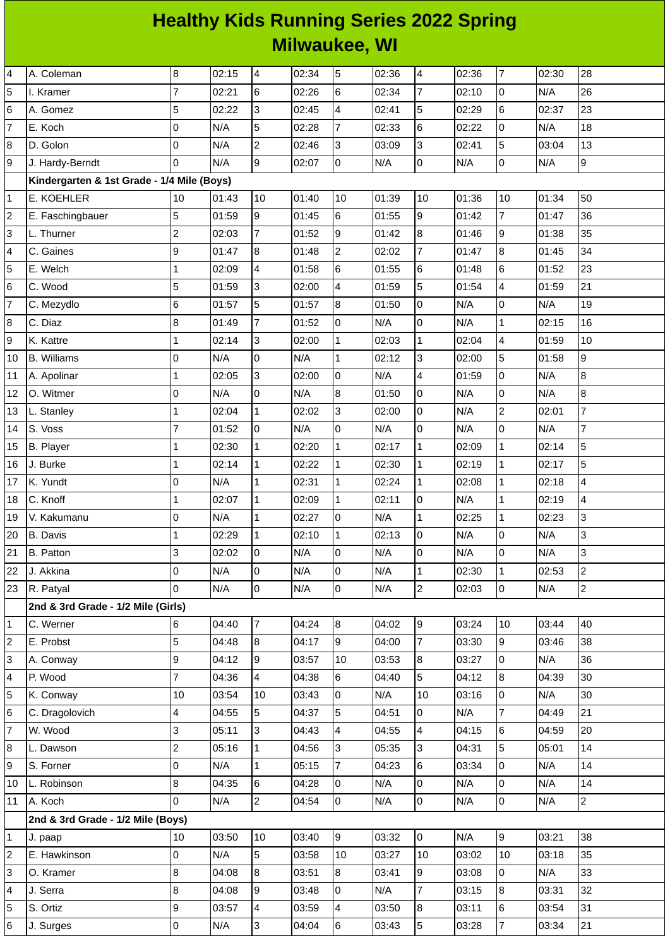## **Healthy Kids Running Series 2022 Spring Milwaukee, WI**

| 4              | A. Coleman                                 | $\, 8$         | 02:15 | $\overline{4}$ | 02:34 | 5               | 02:36 | $\overline{4}$           | 02:36 | $\overline{\mathcal{I}}$ | 02:30 | 28                       |
|----------------|--------------------------------------------|----------------|-------|----------------|-------|-----------------|-------|--------------------------|-------|--------------------------|-------|--------------------------|
| 5              | I. Kramer                                  | $\overline{7}$ | 02:21 | 6              | 02:26 | $6\phantom{.}$  | 02:34 | $\overline{7}$           | 02:10 | $\pmb{0}$                | N/A   | 26                       |
| 6              | A. Gomez                                   | 5              | 02:22 | l3             | 02:45 | $\overline{4}$  | 02:41 | 5                        | 02:29 | 6                        | 02:37 | 23                       |
| $\overline{7}$ | E. Koch                                    | 0              | N/A   | 5              | 02:28 | $\overline{7}$  | 02:33 | $\,6$                    | 02:22 | 0                        | N/A   | 18                       |
| 8              | D. Golon                                   | 0              | N/A   | $\overline{2}$ | 02:46 | 3               | 03:09 | 3                        | 02:41 | 5                        | 03:04 | 13                       |
| 9              | J. Hardy-Berndt                            | 0              | N/A   | 9              | 02:07 | Iо              | N/A   | l0                       | N/A   | 0                        | N/A   | $\overline{9}$           |
|                | Kindergarten & 1st Grade - 1/4 Mile (Boys) |                |       |                |       |                 |       |                          |       |                          |       |                          |
| $\mathbf 1$    | E. KOEHLER                                 | 10             | 01:43 | 10             | 01:40 | 10              | 01:39 | 10                       | 01:36 | 10                       | 01:34 | 50                       |
| $\overline{c}$ | E. Faschingbauer                           | 5              | 01:59 | 9              | 01:45 | $6\phantom{.}$  | 01:55 | $\overline{9}$           | 01:42 | $\overline{7}$           | 01:47 | 36                       |
| 3              | L. Thurner                                 | $\overline{c}$ | 02:03 | $\overline{7}$ | 01:52 | 9               | 01:42 | $\overline{8}$           | 01:46 | 9                        | 01:38 | 35                       |
| 4              | C. Gaines                                  | 9              | 01:47 | 8              | 01:48 | $\overline{2}$  | 02:02 | $\overline{7}$           | 01:47 | 8                        | 01:45 | 34                       |
| 5              | E. Welch                                   | $\mathbf{1}$   | 02:09 | $\overline{4}$ | 01:58 | $\,6$           | 01:55 | 6                        | 01:48 | 6                        | 01:52 | 23                       |
| 6              | C. Wood                                    | 5              | 01:59 | 3              | 02:00 | 4               | 01:59 | $\overline{5}$           | 01:54 | 4                        | 01:59 | 21                       |
| $\overline{7}$ | C. Mezydlo                                 | 6              | 01:57 | 5              | 01:57 | $\overline{8}$  | 01:50 | lo                       | N/A   | 0                        | N/A   | 19                       |
| 8              | C. Diaz                                    | 8              | 01:49 | $\overline{7}$ | 01:52 | 0               | N/A   | $\overline{0}$           | N/A   | $\mathbf 1$              | 02:15 | 16                       |
| 9              | K. Kattre                                  | $\mathbf{1}$   | 02:14 | 3              | 02:00 | $\overline{1}$  | 02:03 | $\overline{1}$           | 02:04 | 4                        | 01:59 | 10                       |
| 10             | <b>B.</b> Williams                         | 0              | N/A   | l0             | N/A   | $\mathbf{1}$    | 02:12 | 3                        | 02:00 | 5                        | 01:58 | $\overline{9}$           |
| $11\,$         | A. Apolinar                                | $\mathbf{1}$   | 02:05 | 3              | 02:00 | 0               | N/A   | $\overline{\mathcal{L}}$ | 01:59 | 0                        | N/A   | 8                        |
| 12             | O. Witmer                                  | 0              | N/A   | O              | N/A   | $\bf{8}$        | 01:50 | $\overline{0}$           | N/A   | 0                        | N/A   | 8                        |
| 13             | L. Stanley                                 | 1              | 02:04 | $\mathbf{1}$   | 02:02 | 3               | 02:00 | $\overline{0}$           | N/A   | $\overline{c}$           | 02:01 | $\overline{7}$           |
| 14             | S. Voss                                    | $\overline{7}$ | 01:52 | l0             | N/A   | 0               | N/A   | I٥                       | N/A   | 0                        | N/A   | $\overline{7}$           |
| 15             | <b>B.</b> Player                           | $\mathbf{1}$   | 02:30 | $\mathbf{1}$   | 02:20 | 1               | 02:17 | $\overline{1}$           | 02:09 | $\mathbf 1$              | 02:14 | 5                        |
| 16             | J. Burke                                   | $\mathbf{1}$   | 02:14 | $\mathbf{1}$   | 02:22 | $\mathbf{1}$    | 02:30 | 1                        | 02:19 | $\mathbf 1$              | 02:17 | 5                        |
| 17             | K. Yundt                                   | 0              | N/A   | $\overline{1}$ | 02:31 | $\overline{1}$  | 02:24 | $\overline{1}$           | 02:08 | $\mathbf{1}$             | 02:18 | $\overline{\mathcal{L}}$ |
| 18             | C. Knoff                                   | $\mathbf{1}$   | 02:07 | $\mathbf{1}$   | 02:09 | $\mathbf{1}$    | 02:11 | $\overline{0}$           | N/A   | $\mathbf 1$              | 02:19 | 4                        |
| 19             | V. Kakumanu                                | 0              | N/A   | $\mathbf 1$    | 02:27 | $\pmb{0}$       | N/A   | $\mathbf{1}$             | 02:25 | $\mathbf 1$              | 02:23 | 3                        |
| 20             | <b>B.</b> Davis                            | 1              | 02:29 | $\mathbf{1}$   | 02:10 | 1               | 02:13 | 0                        | N/A   | 0                        | N/A   | 3                        |
| 21             | <b>B.</b> Patton                           | 3              | 02:02 | lo             | N/A   | Iо              | N/A   | l0                       | N/A   | $\overline{0}$           | N/A   | 3                        |
| 22             | J. Akkina                                  | 0              | N/A   | lo             | N/A   | $\Omega$        | N/A   | $\mathbf{1}$             | 02:30 | $\mathbf{1}$             | 02:53 | $\overline{2}$           |
| 23             | R. Patyal                                  | $\Omega$       | N/A   | l0             | N/A   | l0              | N/A   | $\overline{2}$           | 02:03 | 0                        | N/A   | $\overline{2}$           |
|                | 2nd & 3rd Grade - 1/2 Mile (Girls)         |                |       |                |       |                 |       |                          |       |                          |       |                          |
| $\mathbf 1$    | C. Werner                                  | 6              | 04:40 | 7              | 04:24 | 8               | 04:02 | 9                        | 03:24 | 10                       | 03:44 | 40                       |
| $\overline{c}$ | E. Probst                                  | 5              | 04:48 | 8              | 04:17 | 9               | 04:00 | $\overline{7}$           | 03:30 | 9                        | 03:46 | 38                       |
| 3              | A. Conway                                  | 9              | 04:12 | 9              | 03:57 | 10              | 03:53 | 8                        | 03:27 | 0                        | N/A   | 36                       |
| 4              | P. Wood                                    | $\overline{7}$ | 04:36 | $\overline{4}$ | 04:38 | $6\phantom{.}6$ | 04:40 | 5                        | 04:12 | 8                        | 04:39 | 30                       |
| 5              | K. Conway                                  | 10             | 03:54 | 10             | 03:43 | O               | N/A   | 10                       | 03:16 | 0                        | N/A   | 30                       |
| 6              | C. Dragolovich                             | 4              | 04:55 | 5              | 04:37 | 5               | 04:51 | 0                        | N/A   | $\overline{7}$           | 04:49 | 21                       |
| $\overline{7}$ | W. Wood                                    | 3              | 05:11 | Iз             | 04:43 | $\overline{4}$  | 04:55 | $\overline{4}$           | 04:15 | 6                        | 04:59 | 20                       |
| 8              | L. Dawson                                  | $\overline{c}$ | 05:16 | 1              | 04:56 | 3               | 05:35 | $\overline{3}$           | 04:31 | 5                        | 05:01 | 14                       |
| 9              | S. Forner                                  | 0              | N/A   | $\overline{1}$ | 05:15 | $\overline{7}$  | 04:23 | 6                        | 03:34 | 0                        | N/A   | 14                       |
| 10             | L. Robinson                                | 8              | 04:35 | 6              | 04:28 | 0               | N/A   | $\overline{0}$           | N/A   | 0                        | N/A   | 14                       |
| 11             | A. Koch                                    | 0              | N/A   | 2              | 04:54 | 0               | N/A   | 0                        | N/A   | 0                        | N/A   | $\overline{2}$           |
|                | 2nd & 3rd Grade - 1/2 Mile (Boys)          |                |       |                |       |                 |       |                          |       |                          |       |                          |
| $\mathbf{1}$   | J. paap                                    | 10             | 03:50 | 10             | 03:40 | 9               | 03:32 | 0                        | N/A   | 9                        | 03:21 | 38                       |
| 2              | E. Hawkinson                               | 0              | N/A   | 5              | 03:58 | 10              | 03:27 | 10                       | 03:02 | 10                       | 03:18 | 35                       |
| 3              | O. Kramer                                  | 8              | 04:08 | 8              | 03:51 | 8               | 03:41 | $\overline{9}$           | 03:08 | 0                        | N/A   | 33                       |
| 4              | J. Serra                                   | 8              | 04:08 | 9              | 03:48 | 0               | N/A   | $\overline{7}$           | 03:15 | 8                        | 03:31 | 32                       |
| 5              | S. Ortiz                                   | 9              | 03:57 | $\overline{4}$ | 03:59 | 4               | 03:50 | $\overline{8}$           | 03:11 | 6                        | 03:54 | 31                       |
| 6              | J. Surges                                  | 0              | N/A   | 3              | 04:04 | 6               | 03:43 | 5                        | 03:28 | $\overline{7}$           | 03:34 | 21                       |
|                |                                            |                |       |                |       |                 |       |                          |       |                          |       |                          |